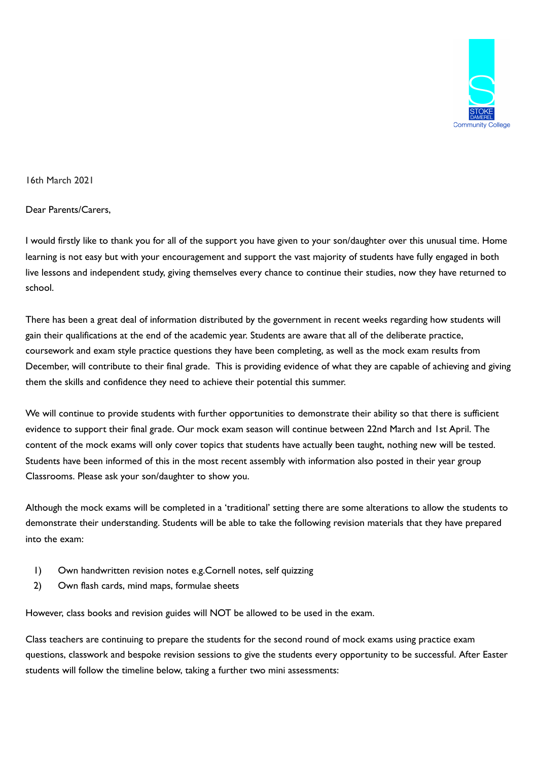

16th March 2021

Dear Parents/Carers,

I would firstly like to thank you for all of the support you have given to your son/daughter over this unusual time. Home learning is not easy but with your encouragement and support the vast majority of students have fully engaged in both live lessons and independent study, giving themselves every chance to continue their studies, now they have returned to school.

There has been a great deal of information distributed by the government in recent weeks regarding how students will gain their qualifications at the end of the academic year. Students are aware that all of the deliberate practice, coursework and exam style practice questions they have been completing, as well as the mock exam results from December, will contribute to their final grade. This is providing evidence of what they are capable of achieving and giving them the skills and confidence they need to achieve their potential this summer.

We will continue to provide students with further opportunities to demonstrate their ability so that there is sufficient evidence to support their final grade. Our mock exam season will continue between 22nd March and 1st April. The content of the mock exams will only cover topics that students have actually been taught, nothing new will be tested. Students have been informed of this in the most recent assembly with information also posted in their year group Classrooms. Please ask your son/daughter to show you.

Although the mock exams will be completed in a 'traditional' setting there are some alterations to allow the students to demonstrate their understanding. Students will be able to take the following revision materials that they have prepared into the exam:

- 1) Own handwritten revision notes e.g.Cornell notes, self quizzing
- 2) Own flash cards, mind maps, formulae sheets

However, class books and revision guides will NOT be allowed to be used in the exam.

Class teachers are continuing to prepare the students for the second round of mock exams using practice exam questions, classwork and bespoke revision sessions to give the students every opportunity to be successful. After Easter students will follow the timeline below, taking a further two mini assessments: